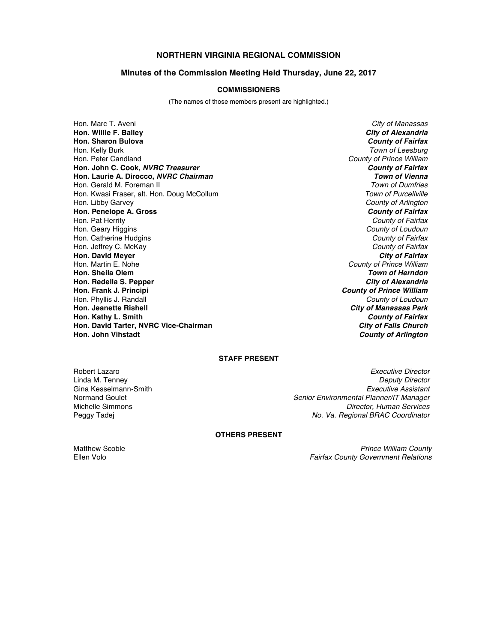# **NORTHERN VIRGINIA REGIONAL COMMISSION**

## **Minutes of the Commission Meeting Held Thursday, June 22, 2017**

#### **COMMISSIONERS**

(The names of those members present are highlighted.)

Hon. Marc T. Aveni *City of Manassas* **Hon. Willie F. Bailey** *City of Alexandria* **Hon. Sharon Bulova** *County of Fairfax* Hon. Kelly Burk *Town of Leesburg* Hon. Peter Candland *County of Prince William* **Hon. John C. Cook,** *NVRC Treasurer County of Fairfax* **Hon. Laurie A. Dirocco,** *NVRC Chairman Town of Vienna* Hon. Gerald M. Foreman II *Town of Dumfries* Hon. Kwasi Fraser, alt. Hon. Doug McCollum Hon. Libby Garvey *County of Arlington* **Hon. Penelope A. Gross** *County of Fairfax* Hon. Pat Herrity *County of Fairfax* Hon. Geary Higgins *County of Loudoun* Hon. Catherine Hudgins *County of Fairfax* Hon. Jeffrey C. McKay *County of Fairfax* **Hon. David Meyer**<br>**Hon. Martin E. Nohe Hon. Sheila Olem** *Town of Herndon* **Hon. Redella S. Pepper Hon. Frank J. Principi** *County of Prince William* Hon. Phyllis J. Randall *County of Loudoun* **Hon. Jeanette Rishell** *City of Manassas Park* **Hon. Kathy L. Smith** *County of Fairfax* **Hon. David Tarter, NVRC Vice-Chairman** *City of Falls Church*

**County of Prince William County of Arlington** 

# **STAFF PRESENT**

Gina Kesselmann-Smith<br>**Normand Goulet** 

Robert Lazaro *Executive Director* Linda M. Tenney *Deputy Director* Normand Goulet *Senior Environmental Planner/IT Manager* **Director, Human Services** Peggy Tadej *No. Va. Regional BRAC Coordinator*

### **OTHERS PRESENT**

Matthew Scoble *Prince William County* Ellen Volo *Fairfax County Government Relations*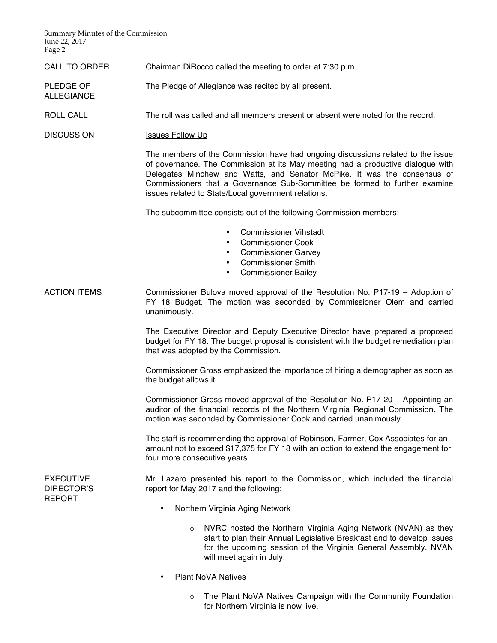Summary Minutes of the Commission June 22, 2017 Page 2

ALLEGIANCE

CALL TO ORDER Chairman DiRocco called the meeting to order at 7:30 p.m.

PLEDGE OF The Pledge of Allegiance was recited by all present.

ROLL CALL The roll was called and all members present or absent were noted for the record.

DISCUSSION Issues Follow Up

The members of the Commission have had ongoing discussions related to the issue of governance. The Commission at its May meeting had a productive dialogue with Delegates Minchew and Watts, and Senator McPike. It was the consensus of Commissioners that a Governance Sub-Sommittee be formed to further examine issues related to State/Local government relations.

The subcommittee consists out of the following Commission members:

- Commissioner Vihstadt
- Commissioner Cook
- Commissioner Garvey
- Commissioner Smith
- Commissioner Bailey
- ACTION ITEMS Commissioner Bulova moved approval of the Resolution No. P17-19 Adoption of FY 18 Budget. The motion was seconded by Commissioner Olem and carried unanimously.

The Executive Director and Deputy Executive Director have prepared a proposed budget for FY 18. The budget proposal is consistent with the budget remediation plan that was adopted by the Commission.

Commissioner Gross emphasized the importance of hiring a demographer as soon as the budget allows it.

Commissioner Gross moved approval of the Resolution No. P17-20 – Appointing an auditor of the financial records of the Northern Virginia Regional Commission. The motion was seconded by Commissioner Cook and carried unanimously.

The staff is recommending the approval of Robinson, Farmer, Cox Associates for an amount not to exceed \$17,375 for FY 18 with an option to extend the engagement for four more consecutive years.

**EXECUTIVE** DIRECTOR'S REPORT

Mr. Lazaro presented his report to the Commission, which included the financial report for May 2017 and the following:

- Northern Virginia Aging Network
	- o NVRC hosted the Northern Virginia Aging Network (NVAN) as they start to plan their Annual Legislative Breakfast and to develop issues for the upcoming session of the Virginia General Assembly. NVAN will meet again in July.
- Plant NoVA Natives
	- $\circ$  The Plant NoVA Natives Campaign with the Community Foundation for Northern Virginia is now live.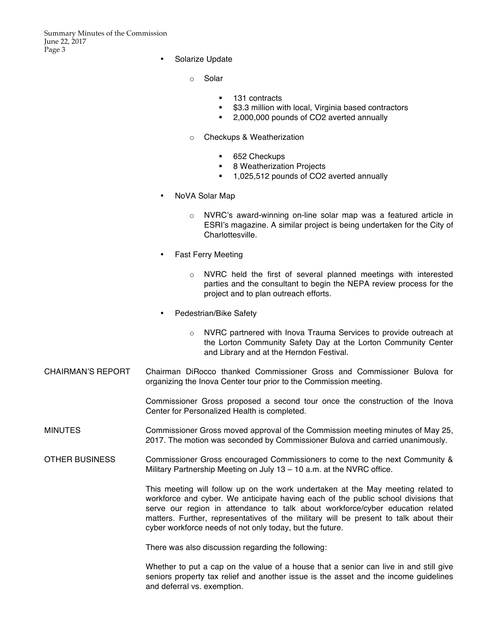Summary Minutes of the Commission June 22, 2017 Page 3

- Solarize Update
	- o Solar
		- § 131 contracts
		- \$3.3 million with local, Virginia based contractors
		- 2,000,000 pounds of CO2 averted annually
	- o Checkups & Weatherization
		- § 652 Checkups
		- 8 Weatherization Projects
		- 1,025,512 pounds of CO2 averted annually
- NoVA Solar Map
	- o NVRC's award-winning on-line solar map was a featured article in ESRI's magazine. A similar project is being undertaken for the City of Charlottesville.
- Fast Ferry Meeting
	- $\circ$  NVRC held the first of several planned meetings with interested parties and the consultant to begin the NEPA review process for the project and to plan outreach efforts.
- Pedestrian/Bike Safety
	- o NVRC partnered with Inova Trauma Services to provide outreach at the Lorton Community Safety Day at the Lorton Community Center and Library and at the Herndon Festival.
- CHAIRMAN'S REPORT Chairman DiRocco thanked Commissioner Gross and Commissioner Bulova for organizing the Inova Center tour prior to the Commission meeting.

Commissioner Gross proposed a second tour once the construction of the Inova Center for Personalized Health is completed.

- MINUTES Commissioner Gross moved approval of the Commission meeting minutes of May 25, 2017. The motion was seconded by Commissioner Bulova and carried unanimously.
- OTHER BUSINESS Commissioner Gross encouraged Commissioners to come to the next Community & Military Partnership Meeting on July 13 – 10 a.m. at the NVRC office.

This meeting will follow up on the work undertaken at the May meeting related to workforce and cyber. We anticipate having each of the public school divisions that serve our region in attendance to talk about workforce/cyber education related matters. Further, representatives of the military will be present to talk about their cyber workforce needs of not only today, but the future.

There was also discussion regarding the following:

Whether to put a cap on the value of a house that a senior can live in and still give seniors property tax relief and another issue is the asset and the income guidelines and deferral vs. exemption.